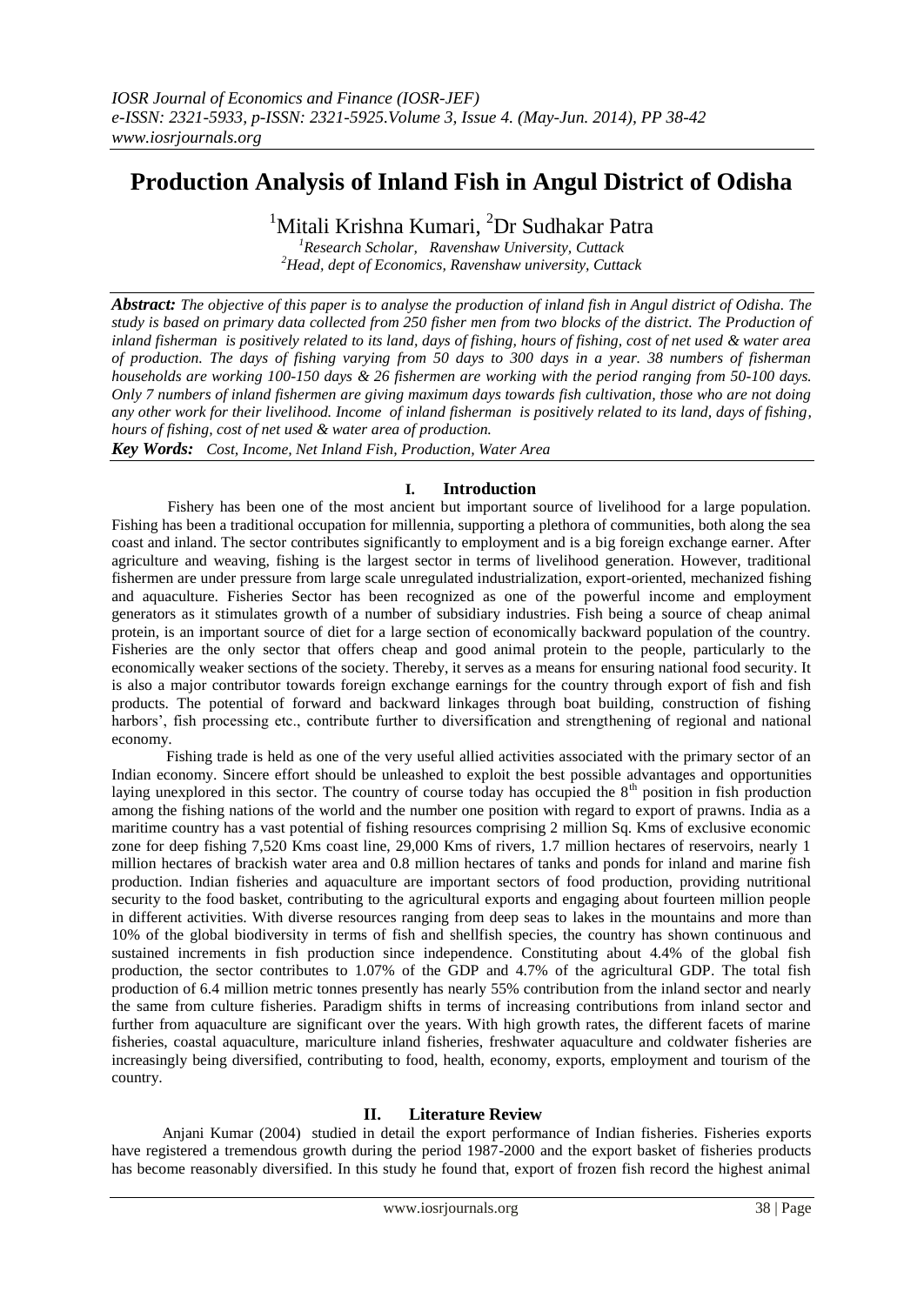# **Production Analysis of Inland Fish in Angul District of Odisha**

<sup>1</sup>Mitali Krishna Kumari, <sup>2</sup>Dr Sudhakar Patra

*<sup>1</sup>Research Scholar, Ravenshaw University, Cuttack <sup>2</sup>Head, dept of Economics, Ravenshaw university, Cuttack*

*Abstract: The objective of this paper is to analyse the production of inland fish in Angul district of Odisha. The study is based on primary data collected from 250 fisher men from two blocks of the district. The Production of inland fisherman is positively related to its land, days of fishing, hours of fishing, cost of net used & water area of production. The days of fishing varying from 50 days to 300 days in a year. 38 numbers of fisherman households are working 100-150 days & 26 fishermen are working with the period ranging from 50-100 days. Only 7 numbers of inland fishermen are giving maximum days towards fish cultivation, those who are not doing any other work for their livelihood. Income of inland fisherman is positively related to its land, days of fishing, hours of fishing, cost of net used & water area of production.* 

*Key Words: Cost, Income, Net Inland Fish, Production, Water Area*

## **I. Introduction**

Fishery has been one of the most ancient but important source of livelihood for a large population. Fishing has been a traditional occupation for millennia, supporting a plethora of communities, both along the sea coast and inland. The sector contributes significantly to employment and is a big foreign exchange earner. After agriculture and weaving, fishing is the largest sector in terms of livelihood generation. However, traditional fishermen are under pressure from large scale unregulated industrialization, export-oriented, mechanized fishing and aquaculture. Fisheries Sector has been recognized as one of the powerful income and employment generators as it stimulates growth of a number of subsidiary industries. Fish being a source of cheap animal protein, is an important source of diet for a large section of economically backward population of the country. Fisheries are the only sector that offers cheap and good animal protein to the people, particularly to the economically weaker sections of the society. Thereby, it serves as a means for ensuring national food security. It is also a major contributor towards foreign exchange earnings for the country through export of fish and fish products. The potential of forward and backward linkages through boat building, construction of fishing harbors', fish processing etc., contribute further to diversification and strengthening of regional and national economy.

Fishing trade is held as one of the very useful allied activities associated with the primary sector of an Indian economy. Sincere effort should be unleashed to exploit the best possible advantages and opportunities laying unexplored in this sector. The country of course today has occupied the 8<sup>th</sup> position in fish production among the fishing nations of the world and the number one position with regard to export of prawns. India as a maritime country has a vast potential of fishing resources comprising 2 million Sq. Kms of exclusive economic zone for deep fishing 7,520 Kms coast line, 29,000 Kms of rivers, 1.7 million hectares of reservoirs, nearly 1 million hectares of brackish water area and 0.8 million hectares of tanks and ponds for inland and marine fish production. Indian fisheries and aquaculture are important sectors of food production, providing nutritional security to the food basket, contributing to the agricultural exports and engaging about fourteen million people in different activities. With diverse resources ranging from deep seas to lakes in the mountains and more than 10% of the global biodiversity in terms of fish and shellfish species, the country has shown continuous and sustained increments in fish production since independence. Constituting about 4.4% of the global fish production, the sector contributes to 1.07% of the GDP and 4.7% of the agricultural GDP. The total fish production of 6.4 million metric tonnes presently has nearly 55% contribution from the inland sector and nearly the same from culture fisheries. Paradigm shifts in terms of increasing contributions from inland sector and further from aquaculture are significant over the years. With high growth rates, the different facets of marine fisheries, coastal aquaculture, mariculture inland fisheries, freshwater aquaculture and coldwater fisheries are increasingly being diversified, contributing to food, health, economy, exports, employment and tourism of the country.

## **II. Literature Review**

 Anjani Kumar (2004) studied in detail the export performance of Indian fisheries. Fisheries exports have registered a tremendous growth during the period 1987-2000 and the export basket of fisheries products has become reasonably diversified. In this study he found that, export of frozen fish record the highest animal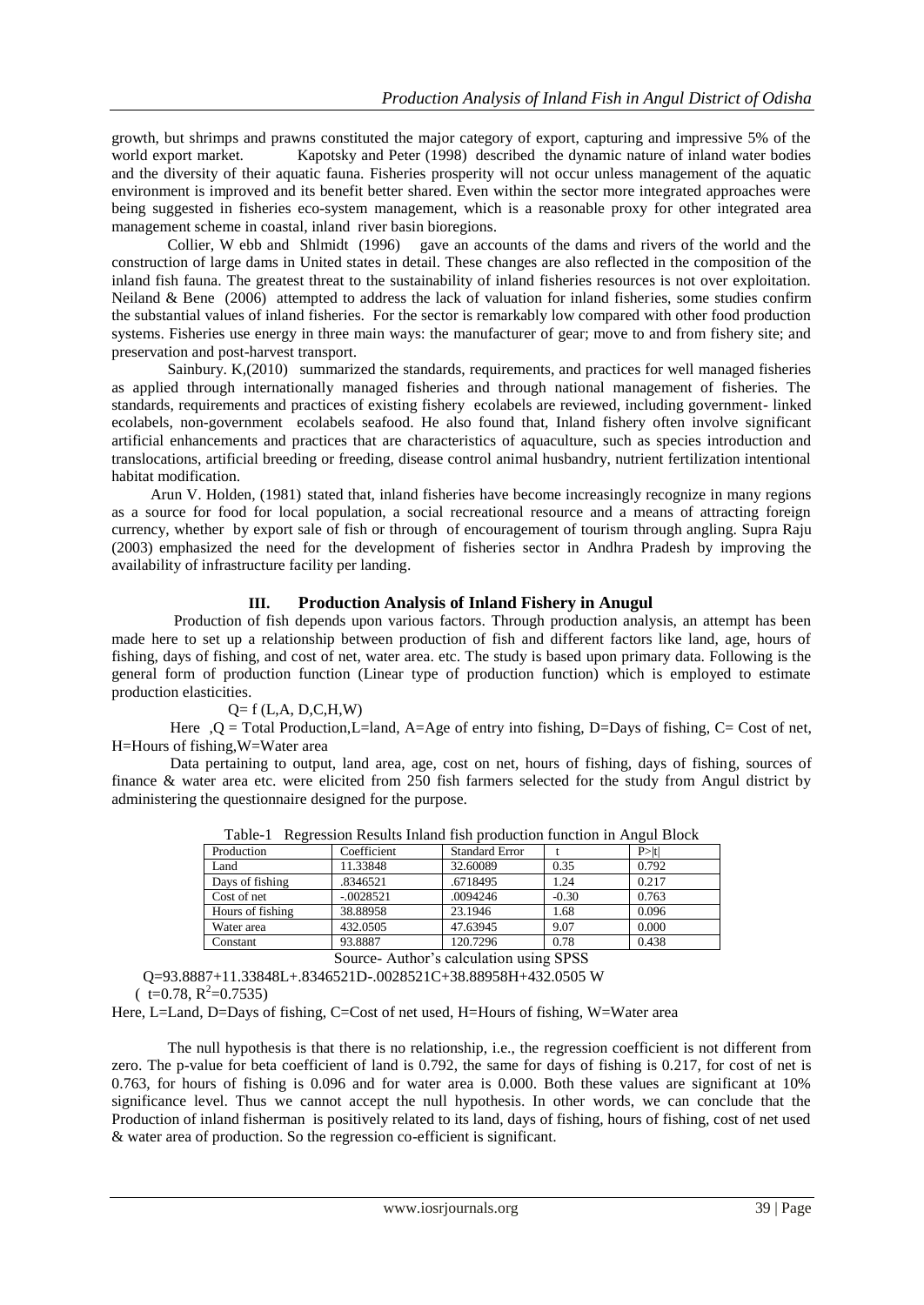growth, but shrimps and prawns constituted the major category of export, capturing and impressive 5% of the world export market. Kapotsky and Peter (1998) described the dynamic nature of inland water bodies and the diversity of their aquatic fauna. Fisheries prosperity will not occur unless management of the aquatic environment is improved and its benefit better shared. Even within the sector more integrated approaches were being suggested in fisheries eco-system management, which is a reasonable proxy for other integrated area management scheme in coastal, inland river basin bioregions.

 Collier, W ebb and Shlmidt (1996) gave an accounts of the dams and rivers of the world and the construction of large dams in United states in detail. These changes are also reflected in the composition of the inland fish fauna. The greatest threat to the sustainability of inland fisheries resources is not over exploitation. Neiland & Bene (2006) attempted to address the lack of valuation for inland fisheries, some studies confirm the substantial values of inland fisheries. For the sector is remarkably low compared with other food production systems. Fisheries use energy in three main ways: the manufacturer of gear; move to and from fishery site; and preservation and post-harvest transport.

 Sainbury. K,(2010) summarized the standards, requirements, and practices for well managed fisheries as applied through internationally managed fisheries and through national management of fisheries. The standards, requirements and practices of existing fishery ecolabels are reviewed, including government- linked ecolabels, non-government ecolabels seafood. He also found that, Inland fishery often involve significant artificial enhancements and practices that are characteristics of aquaculture, such as species introduction and translocations, artificial breeding or freeding, disease control animal husbandry, nutrient fertilization intentional habitat modification.

 Arun V. Holden, (1981) stated that, inland fisheries have become increasingly recognize in many regions as a source for food for local population, a social recreational resource and a means of attracting foreign currency, whether by export sale of fish or through of encouragement of tourism through angling. Supra Raju (2003) emphasized the need for the development of fisheries sector in Andhra Pradesh by improving the availability of infrastructure facility per landing.

## **III. Production Analysis of Inland Fishery in Anugul**

 Production of fish depends upon various factors. Through production analysis, an attempt has been made here to set up a relationship between production of fish and different factors like land, age, hours of fishing, days of fishing, and cost of net, water area. etc. The study is based upon primary data. Following is the general form of production function (Linear type of production function) which is employed to estimate production elasticities.

#### $Q = f(L, A, D, C, H, W)$

 Here ,Q = Total Production,L=land, A=Age of entry into fishing, D=Days of fishing, C= Cost of net, H=Hours of fishing,W=Water area

 Data pertaining to output, land area, age, cost on net, hours of fishing, days of fishing, sources of finance & water area etc. were elicited from 250 fish farmers selected for the study from Angul district by administering the questionnaire designed for the purpose.

| Production       | Coefficient | <b>Standard Error</b> |         | $P>$  t |
|------------------|-------------|-----------------------|---------|---------|
| Land             | 11.33848    | 32.60089              | 0.35    | 0.792   |
| Days of fishing  | .8346521    | .6718495              | 1.24    | 0.217   |
| Cost of net      | $-.0028521$ | .0094246              | $-0.30$ | 0.763   |
| Hours of fishing | 38.88958    | 23.1946               | 1.68    | 0.096   |
| Water area       | 432.0505    | 47.63945              | 9.07    | 0.000   |
| Constant         | 93.8887     | 120.7296              | 0.78    | 0.438   |
|                  | .           | .                     | ----    |         |

Table-1 Regression Results Inland fish production function in Angul Block

Source- Author's calculation using SPSS

Q=93.8887+11.33848L+.8346521D-.0028521C+38.88958H+432.0505 W

 $(t=0.78, R^2=0.7535)$ 

Here, L=Land, D=Days of fishing, C=Cost of net used, H=Hours of fishing, W=Water area

The null hypothesis is that there is no relationship, i.e., the regression coefficient is not different from zero. The p*-*value for beta coefficient of land is 0.792, the same for days of fishing is 0.217, for cost of net is 0.763, for hours of fishing is 0.096 and for water area is 0.000. Both these values are significant at 10% significance level. Thus we cannot accept the null hypothesis. In other words, we can conclude that the Production of inland fisherman is positively related to its land, days of fishing, hours of fishing, cost of net used & water area of production. So the regression co-efficient is significant.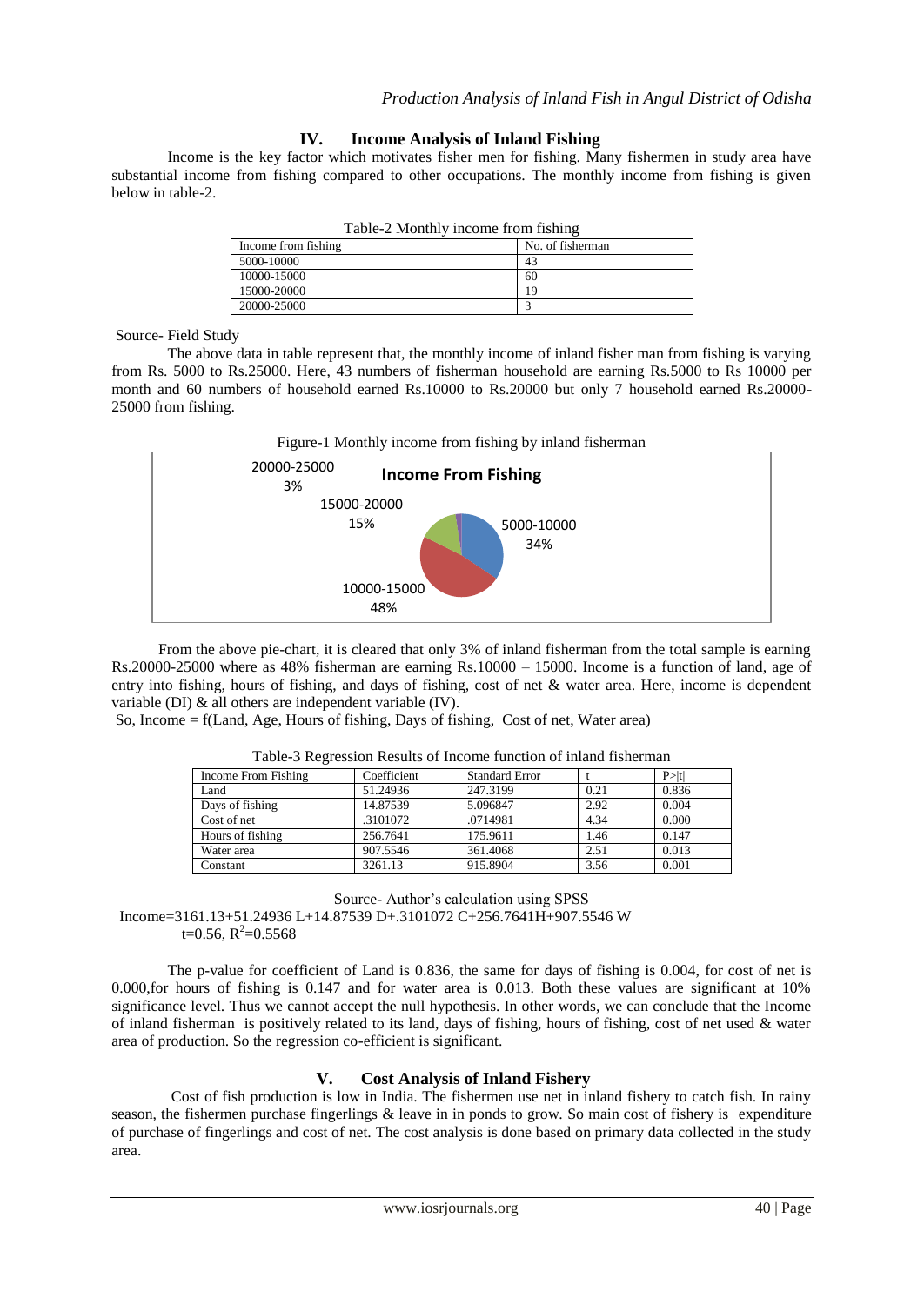## **IV. Income Analysis of Inland Fishing**

Income is the key factor which motivates fisher men for fishing. Many fishermen in study area have substantial income from fishing compared to other occupations. The monthly income from fishing is given below in table-2.

| Table-2 Monthly income from fishing |                  |  |  |
|-------------------------------------|------------------|--|--|
| Income from fishing                 | No. of fisherman |  |  |
| 5000-10000                          | 43               |  |  |
| 10000-15000                         | 60               |  |  |
| 15000-20000                         | 19               |  |  |
| 20000-25000                         |                  |  |  |

Table-2 Monthly income from fishing

Source- Field Study

The above data in table represent that, the monthly income of inland fisher man from fishing is varying from Rs. 5000 to Rs.25000. Here, 43 numbers of fisherman household are earning Rs.5000 to Rs 10000 per month and 60 numbers of household earned Rs.10000 to Rs.20000 but only 7 household earned Rs.20000-25000 from fishing.



 From the above pie-chart, it is cleared that only 3% of inland fisherman from the total sample is earning Rs.20000-25000 where as 48% fisherman are earning Rs.10000 – 15000. Income is a function of land, age of entry into fishing, hours of fishing, and days of fishing, cost of net & water area. Here, income is dependent variable (DI) & all others are independent variable (IV).

So, Income = f(Land, Age, Hours of fishing, Days of fishing, Cost of net, Water area)

| Income From Fishing | Coefficient | <b>Standard Error</b> |      | P >  t |
|---------------------|-------------|-----------------------|------|--------|
| Land                | 51.24936    | 247.3199              | 0.21 | 0.836  |
| Days of fishing     | 14.87539    | 5.096847              | 2.92 | 0.004  |
| Cost of net         | .3101072    | .0714981              | 4.34 | 0.000  |
| Hours of fishing    | 256.7641    | 175.9611              | 1.46 | 0.147  |
| Water area          | 907.5546    | 361.4068              | 2.51 | 0.013  |
| Constant            | 3261.13     | 915.8904              | 3.56 | 0.001  |

Table-3 Regression Results of Income function of inland fisherman

Source- Author's calculation using SPSS

 Income=3161.13+51.24936 L+14.87539 D+.3101072 C+256.7641H+907.5546 W  $t=0.56, R^2=0.5568$ 

The p*-*value for coefficient of Land is 0.836, the same for days of fishing is 0.004, for cost of net is 0.000,for hours of fishing is 0.147 and for water area is 0.013. Both these values are significant at 10% significance level. Thus we cannot accept the null hypothesis. In other words, we can conclude that the Income of inland fisherman is positively related to its land, days of fishing, hours of fishing, cost of net used & water area of production. So the regression co-efficient is significant.

## **V. Cost Analysis of Inland Fishery**

Cost of fish production is low in India. The fishermen use net in inland fishery to catch fish. In rainy season, the fishermen purchase fingerlings & leave in in ponds to grow. So main cost of fishery is expenditure of purchase of fingerlings and cost of net. The cost analysis is done based on primary data collected in the study area.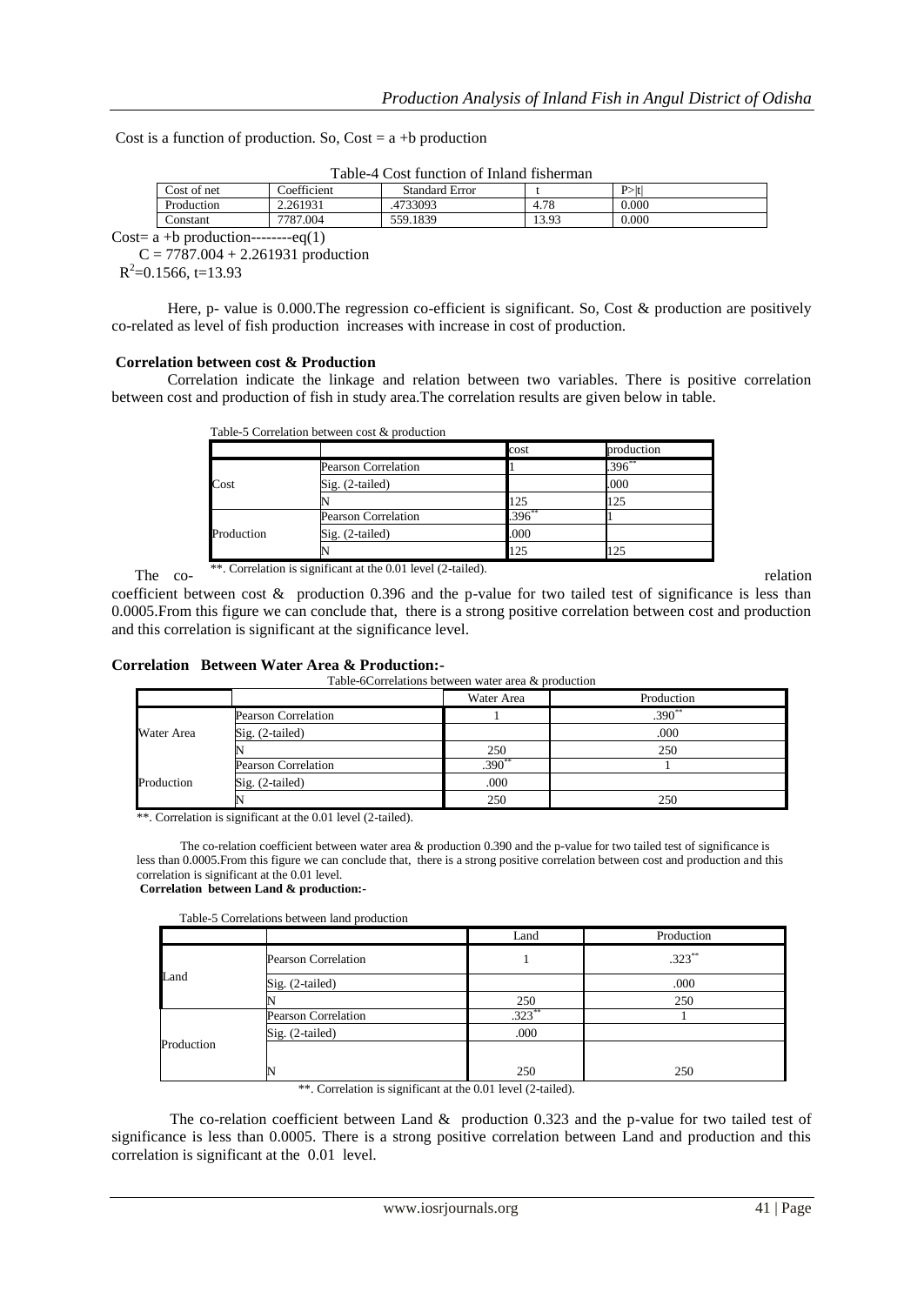Cost is a function of production. So,  $Cost = a + b$  production

Table-4 Cost function of Inland fisherman

| Cost of net | Coefficient | Standard Error |       | $P>$ t    |
|-------------|-------------|----------------|-------|-----------|
| Production  | 2.261931    | .4733093       | 4.78  | 0.000     |
| Constant    | 7787.004    | 559.1839       | 13.93 | $0.000\,$ |

Cost= $\overline{a + b}$  production---------eq(1)

 $C = 7787.004 + 2.261931$  production

 $R^2$ =0.1566, t=13.93

Here, p- value is 0.000. The regression co-efficient is significant. So, Cost  $\&$  production are positively co-related as level of fish production increases with increase in cost of production.

#### **Correlation between cost & Production**

Correlation indicate the linkage and relation between two variables. There is positive correlation between cost and production of fish in study area.The correlation results are given below in table.

|            |                            | cost        | production |
|------------|----------------------------|-------------|------------|
|            | Pearson Correlation        |             | $.396**$   |
| Cost       | Sig. (2-tailed)            |             | .000       |
|            |                            | 125         | 125        |
|            | <b>Pearson Correlation</b> | $.396^{**}$ |            |
| Production | $Sig. (2-tailed)$          | .000        |            |
|            |                            | 125         | 125        |

coefficient between cost & production 0.396 and the p-value for two tailed test of significance is less than 0.0005.From this figure we can conclude that, there is a strong positive correlation between cost and production and this correlation is significant at the significance level.

#### **Correlation Between Water Area & Production:-**

Table-6Correlations between water area & production

|            |                     | Water Area | Production |
|------------|---------------------|------------|------------|
| Water Area | Pearson Correlation |            | $.390**$   |
|            | Sig. (2-tailed)     |            | .000       |
|            |                     | 250        | 250        |
| Production | Pearson Correlation | $.390**$   |            |
|            | $Sig. (2-tailed)$   | .000       |            |
|            |                     | 250        | 250        |

\*\*. Correlation is significant at the 0.01 level (2-tailed).

 The co-relation coefficient between water area & production 0.390 and the p-value for two tailed test of significance is less than 0.0005.From this figure we can conclude that, there is a strong positive correlation between cost and production and this correlation is significant at the 0.01 level. **Correlation between Land & production:-**

Table-5 Correlations between land production

| rable 5 correlations between land production |                            |           |            |  |  |
|----------------------------------------------|----------------------------|-----------|------------|--|--|
|                                              |                            | Land      | Production |  |  |
| Land                                         | <b>Pearson Correlation</b> |           | $.323**$   |  |  |
|                                              | Sig. (2-tailed)            |           | .000       |  |  |
|                                              |                            | 250       | 250        |  |  |
|                                              | <b>Pearson Correlation</b> | $.323***$ |            |  |  |
|                                              | Sig. (2-tailed)            | .000      |            |  |  |
| Production                                   |                            |           |            |  |  |
|                                              |                            | 250       | 250        |  |  |

\*\*. Correlation is significant at the 0.01 level (2-tailed).

The co-relation coefficient between Land & production 0.323 and the p-value for two tailed test of significance is less than 0.0005. There is a strong positive correlation between Land and production and this correlation is significant at the 0.01 level.